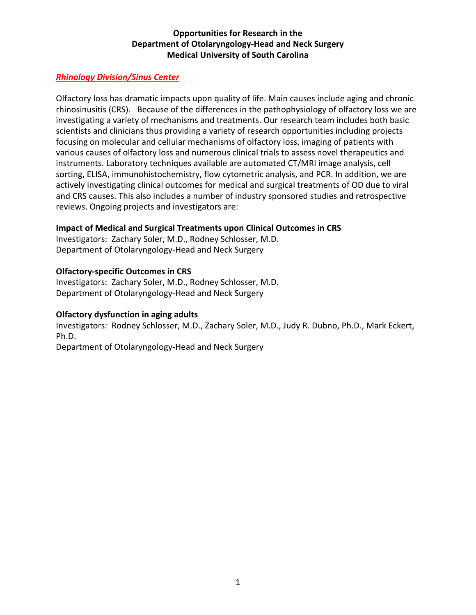# *Rhinology Division/Sinus Center*

Olfactory loss has dramatic impacts upon quality of life. Main causes include aging and chronic rhinosinusitis (CRS). Because of the differences in the pathophysiology of olfactory loss we are investigating a variety of mechanisms and treatments. Our research team includes both basic scientists and clinicians thus providing a variety of research opportunities including projects focusing on molecular and cellular mechanisms of olfactory loss, imaging of patients with various causes of olfactory loss and numerous clinical trials to assess novel therapeutics and instruments. Laboratory techniques available are automated CT/MRI image analysis, cell sorting, ELISA, immunohistochemistry, flow cytometric analysis, and PCR. In addition, we are actively investigating clinical outcomes for medical and surgical treatments of OD due to viral and CRS causes. This also includes a number of industry sponsored studies and retrospective reviews. Ongoing projects and investigators are:

# **Impact of Medical and Surgical Treatments upon Clinical Outcomes in CRS**

Investigators: Zachary Soler, M.D., Rodney Schlosser, M.D. Department of Otolaryngology-Head and Neck Surgery

# **Olfactory-specific Outcomes in CRS**

Investigators: Zachary Soler, M.D., Rodney Schlosser, M.D. Department of Otolaryngology-Head and Neck Surgery

#### **Olfactory dysfunction in aging adults**

Investigators: Rodney Schlosser, M.D., Zachary Soler, M.D., Judy R. Dubno, Ph.D., Mark Eckert, Ph.D.

Department of Otolaryngology-Head and Neck Surgery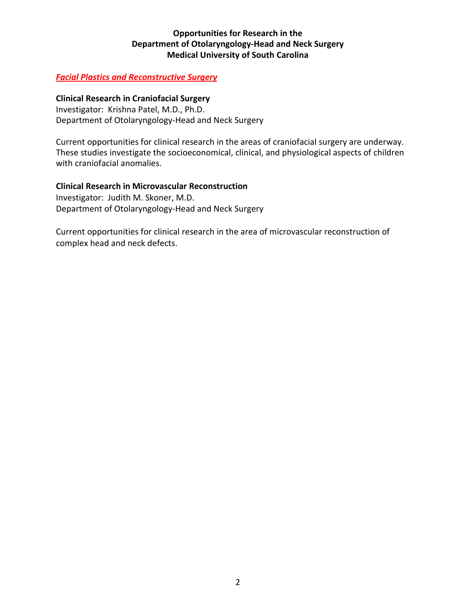# *Facial Plastics and Reconstructive Surgery*

#### **Clinical Research in Craniofacial Surgery**

Investigator: Krishna Patel, M.D., Ph.D. Department of Otolaryngology-Head and Neck Surgery

Current opportunities for clinical research in the areas of craniofacial surgery are underway. These studies investigate the socioeconomical, clinical, and physiological aspects of children with craniofacial anomalies.

#### **Clinical Research in Microvascular Reconstruction**

Investigator: Judith M. Skoner, M.D. Department of Otolaryngology-Head and Neck Surgery

Current opportunities for clinical research in the area of microvascular reconstruction of complex head and neck defects.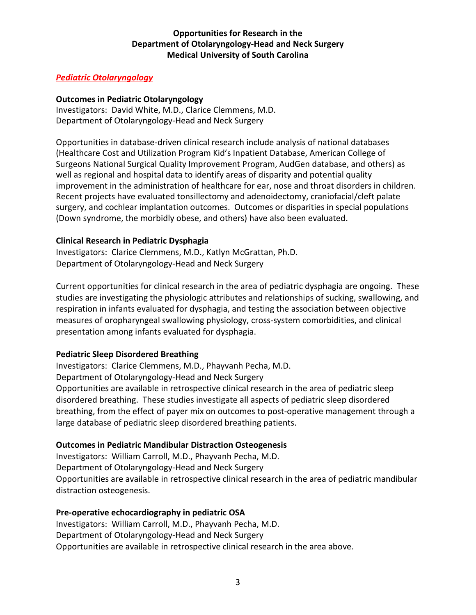# *Pediatric Otolaryngology*

## **Outcomes in Pediatric Otolaryngology**

Investigators: David White, M.D., Clarice Clemmens, M.D. Department of Otolaryngology-Head and Neck Surgery

Opportunities in database-driven clinical research include analysis of national databases (Healthcare Cost and Utilization Program Kid's Inpatient Database, American College of Surgeons National Surgical Quality Improvement Program, AudGen database, and others) as well as regional and hospital data to identify areas of disparity and potential quality improvement in the administration of healthcare for ear, nose and throat disorders in children. Recent projects have evaluated tonsillectomy and adenoidectomy, craniofacial/cleft palate surgery, and cochlear implantation outcomes. Outcomes or disparities in special populations (Down syndrome, the morbidly obese, and others) have also been evaluated.

#### **Clinical Research in Pediatric Dysphagia**

Investigators: Clarice Clemmens, M.D., Katlyn McGrattan, Ph.D. Department of Otolaryngology-Head and Neck Surgery

Current opportunities for clinical research in the area of pediatric dysphagia are ongoing. These studies are investigating the physiologic attributes and relationships of sucking, swallowing, and respiration in infants evaluated for dysphagia, and testing the association between objective measures of oropharyngeal swallowing physiology, cross-system comorbidities, and clinical presentation among infants evaluated for dysphagia.

# **Pediatric Sleep Disordered Breathing**

Investigators: Clarice Clemmens, M.D., Phayvanh Pecha, M.D. Department of Otolaryngology-Head and Neck Surgery Opportunities are available in retrospective clinical research in the area of pediatric sleep disordered breathing. These studies investigate all aspects of pediatric sleep disordered breathing, from the effect of payer mix on outcomes to post-operative management through a large database of pediatric sleep disordered breathing patients.

#### **Outcomes in Pediatric Mandibular Distraction Osteogenesis**

Investigators: William Carroll, M.D., Phayvanh Pecha, M.D. Department of Otolaryngology-Head and Neck Surgery Opportunities are available in retrospective clinical research in the area of pediatric mandibular distraction osteogenesis.

#### **Pre-operative echocardiography in pediatric OSA**

Investigators: William Carroll, M.D., Phayvanh Pecha, M.D. Department of Otolaryngology-Head and Neck Surgery Opportunities are available in retrospective clinical research in the area above.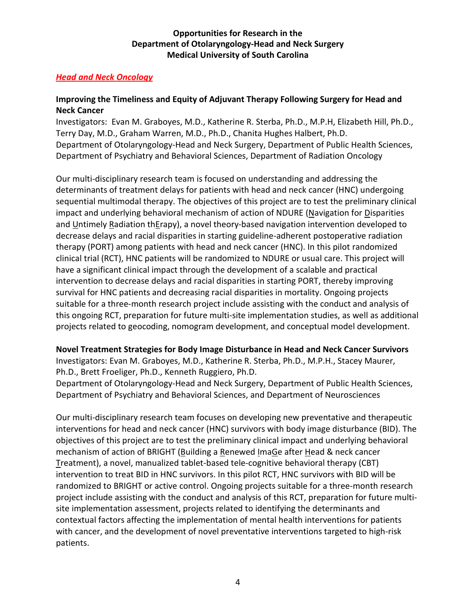# *Head and Neck Oncology*

# **Improving the Timeliness and Equity of Adjuvant Therapy Following Surgery for Head and Neck Cancer**

Investigators: Evan M. Graboyes, M.D., Katherine R. Sterba, Ph.D., M.P.H, Elizabeth Hill, Ph.D., Terry Day, M.D., Graham Warren, M.D., Ph.D., Chanita Hughes Halbert, Ph.D. Department of Otolaryngology-Head and Neck Surgery, Department of Public Health Sciences, Department of Psychiatry and Behavioral Sciences, Department of Radiation Oncology

Our multi-disciplinary research team is focused on understanding and addressing the determinants of treatment delays for patients with head and neck cancer (HNC) undergoing sequential multimodal therapy. The objectives of this project are to test the preliminary clinical impact and underlying behavioral mechanism of action of NDURE (Navigation for Disparities and Untimely Radiation thErapy), a novel theory-based navigation intervention developed to decrease delays and racial disparities in starting guideline-adherent postoperative radiation therapy (PORT) among patients with head and neck cancer (HNC). In this pilot randomized clinical trial (RCT), HNC patients will be randomized to NDURE or usual care. This project will have a significant clinical impact through the development of a scalable and practical intervention to decrease delays and racial disparities in starting PORT, thereby improving survival for HNC patients and decreasing racial disparities in mortality. Ongoing projects suitable for a three-month research project include assisting with the conduct and analysis of this ongoing RCT, preparation for future multi-site implementation studies, as well as additional projects related to geocoding, nomogram development, and conceptual model development.

#### **Novel Treatment Strategies for Body Image Disturbance in Head and Neck Cancer Survivors**

Investigators: Evan M. Graboyes, M.D., Katherine R. Sterba, Ph.D., M.P.H., Stacey Maurer, Ph.D., Brett Froeliger, Ph.D., Kenneth Ruggiero, Ph.D.

Department of Otolaryngology-Head and Neck Surgery, Department of Public Health Sciences, Department of Psychiatry and Behavioral Sciences, and Department of Neurosciences

Our multi-disciplinary research team focuses on developing new preventative and therapeutic interventions for head and neck cancer (HNC) survivors with body image disturbance (BID). The objectives of this project are to test the preliminary clinical impact and underlying behavioral mechanism of action of BRIGHT (Building a Renewed ImaGe after Head & neck cancer Treatment), a novel, manualized tablet-based tele-cognitive behavioral therapy (CBT) intervention to treat BID in HNC survivors. In this pilot RCT, HNC survivors with BID will be randomized to BRIGHT or active control. Ongoing projects suitable for a three-month research project include assisting with the conduct and analysis of this RCT, preparation for future multisite implementation assessment, projects related to identifying the determinants and contextual factors affecting the implementation of mental health interventions for patients with cancer, and the development of novel preventative interventions targeted to high-risk patients.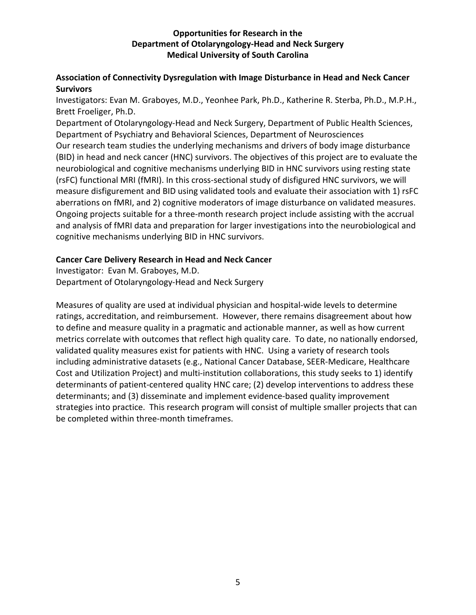# **Association of Connectivity Dysregulation with Image Disturbance in Head and Neck Cancer Survivors**

Investigators: Evan M. Graboyes, M.D., Yeonhee Park, Ph.D., Katherine R. Sterba, Ph.D., M.P.H., Brett Froeliger, Ph.D.

Department of Otolaryngology-Head and Neck Surgery, Department of Public Health Sciences, Department of Psychiatry and Behavioral Sciences, Department of Neurosciences Our research team studies the underlying mechanisms and drivers of body image disturbance (BID) in head and neck cancer (HNC) survivors. The objectives of this project are to evaluate the neurobiological and cognitive mechanisms underlying BID in HNC survivors using resting state (rsFC) functional MRI (fMRI). In this cross-sectional study of disfigured HNC survivors, we will measure disfigurement and BID using validated tools and evaluate their association with 1) rsFC aberrations on fMRI, and 2) cognitive moderators of image disturbance on validated measures. Ongoing projects suitable for a three-month research project include assisting with the accrual and analysis of fMRI data and preparation for larger investigations into the neurobiological and cognitive mechanisms underlying BID in HNC survivors.

# **Cancer Care Delivery Research in Head and Neck Cancer**

Investigator: Evan M. Graboyes, M.D. Department of Otolaryngology-Head and Neck Surgery

Measures of quality are used at individual physician and hospital-wide levels to determine ratings, accreditation, and reimbursement. However, there remains disagreement about how to define and measure quality in a pragmatic and actionable manner, as well as how current metrics correlate with outcomes that reflect high quality care. To date, no nationally endorsed, validated quality measures exist for patients with HNC. Using a variety of research tools including administrative datasets (e.g., National Cancer Database, SEER-Medicare, Healthcare Cost and Utilization Project) and multi-institution collaborations, this study seeks to 1) identify determinants of patient-centered quality HNC care; (2) develop interventions to address these determinants; and (3) disseminate and implement evidence-based quality improvement strategies into practice. This research program will consist of multiple smaller projects that can be completed within three-month timeframes.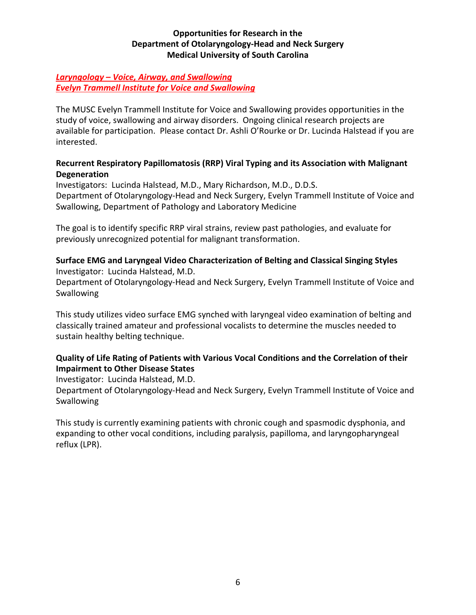# *Laryngology – Voice, Airway, and Swallowing Evelyn Trammell Institute for Voice and Swallowing*

The MUSC Evelyn Trammell Institute for Voice and Swallowing provides opportunities in the study of voice, swallowing and airway disorders. Ongoing clinical research projects are available for participation. Please contact Dr. Ashli O'Rourke or Dr. Lucinda Halstead if you are interested.

# **Recurrent Respiratory Papillomatosis (RRP) Viral Typing and its Association with Malignant Degeneration**

Investigators: Lucinda Halstead, M.D., Mary Richardson, M.D., D.D.S. Department of Otolaryngology-Head and Neck Surgery, Evelyn Trammell Institute of Voice and Swallowing, Department of Pathology and Laboratory Medicine

The goal is to identify specific RRP viral strains, review past pathologies, and evaluate for previously unrecognized potential for malignant transformation.

# **Surface EMG and Laryngeal Video Characterization of Belting and Classical Singing Styles** Investigator: Lucinda Halstead, M.D.

Department of Otolaryngology-Head and Neck Surgery, Evelyn Trammell Institute of Voice and Swallowing

This study utilizes video surface EMG synched with laryngeal video examination of belting and classically trained amateur and professional vocalists to determine the muscles needed to sustain healthy belting technique.

# **Quality of Life Rating of Patients with Various Vocal Conditions and the Correlation of their Impairment to Other Disease States**

Investigator: Lucinda Halstead, M.D.

Department of Otolaryngology-Head and Neck Surgery, Evelyn Trammell Institute of Voice and **Swallowing** 

This study is currently examining patients with chronic cough and spasmodic dysphonia, and expanding to other vocal conditions, including paralysis, papilloma, and laryngopharyngeal reflux (LPR).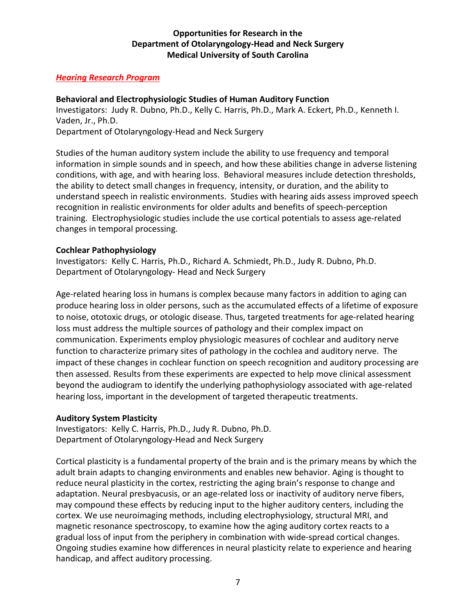## *Hearing Research Program*

# **Behavioral and Electrophysiologic Studies of Human Auditory Function**

Investigators: Judy R. Dubno, Ph.D., Kelly C. Harris, Ph.D., Mark A. Eckert, Ph.D., Kenneth I. Vaden, Jr., Ph.D.

Department of Otolaryngology-Head and Neck Surgery

Studies of the human auditory system include the ability to use frequency and temporal information in simple sounds and in speech, and how these abilities change in adverse listening conditions, with age, and with hearing loss. Behavioral measures include detection thresholds, the ability to detect small changes in frequency, intensity, or duration, and the ability to understand speech in realistic environments. Studies with hearing aids assess improved speech recognition in realistic environments for older adults and benefits of speech-perception training. Electrophysiologic studies include the use cortical potentials to assess age-related changes in temporal processing.

# **Cochlear Pathophysiology**

Investigators: Kelly C. Harris, Ph.D., Richard A. Schmiedt, Ph.D., Judy R. Dubno, Ph.D. Department of Otolaryngology- Head and Neck Surgery

Age-related hearing loss in humans is complex because many factors in addition to aging can produce hearing loss in older persons, such as the accumulated effects of a lifetime of exposure to noise, ototoxic drugs, or otologic disease. Thus, targeted treatments for age-related hearing loss must address the multiple sources of pathology and their complex impact on communication. Experiments employ physiologic measures of cochlear and auditory nerve function to characterize primary sites of pathology in the cochlea and auditory nerve. The impact of these changes in cochlear function on speech recognition and auditory processing are then assessed. Results from these experiments are expected to help move clinical assessment beyond the audiogram to identify the underlying pathophysiology associated with age-related hearing loss, important in the development of targeted therapeutic treatments.

#### **Auditory System Plasticity**

Investigators: Kelly C. Harris, Ph.D., Judy R. Dubno, Ph.D. Department of Otolaryngology-Head and Neck Surgery

Cortical plasticity is a fundamental property of the brain and is the primary means by which the adult brain adapts to changing environments and enables new behavior. Aging is thought to reduce neural plasticity in the cortex, restricting the aging brain's response to change and adaptation. Neural presbyacusis, or an age-related loss or inactivity of auditory nerve fibers, may compound these effects by reducing input to the higher auditory centers, including the cortex. We use neuroimaging methods, including electrophysiology, structural MRI, and magnetic resonance spectroscopy, to examine how the aging auditory cortex reacts to a gradual loss of input from the periphery in combination with wide-spread cortical changes. Ongoing studies examine how differences in neural plasticity relate to experience and hearing handicap, and affect auditory processing.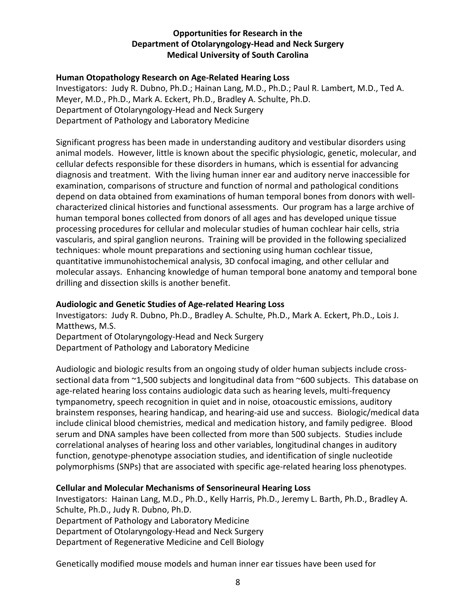## **Human Otopathology Research on Age-Related Hearing Loss**

Investigators: Judy R. Dubno, Ph.D.; Hainan Lang, M.D., Ph.D.; Paul R. Lambert, M.D., Ted A. Meyer, M.D., Ph.D., Mark A. Eckert, Ph.D., Bradley A. Schulte, Ph.D. Department of Otolaryngology-Head and Neck Surgery Department of Pathology and Laboratory Medicine

Significant progress has been made in understanding auditory and vestibular disorders using animal models. However, little is known about the specific physiologic, genetic, molecular, and cellular defects responsible for these disorders in humans, which is essential for advancing diagnosis and treatment. With the living human inner ear and auditory nerve inaccessible for examination, comparisons of structure and function of normal and pathological conditions depend on data obtained from examinations of human temporal bones from donors with wellcharacterized clinical histories and functional assessments. Our program has a large archive of human temporal bones collected from donors of all ages and has developed unique tissue processing procedures for cellular and molecular studies of human cochlear hair cells, stria vascularis, and spiral ganglion neurons. Training will be provided in the following specialized techniques: whole mount preparations and sectioning using human cochlear tissue, quantitative immunohistochemical analysis, 3D confocal imaging, and other cellular and molecular assays. Enhancing knowledge of human temporal bone anatomy and temporal bone drilling and dissection skills is another benefit.

# **Audiologic and Genetic Studies of Age-related Hearing Loss**

Investigators: Judy R. Dubno, Ph.D., Bradley A. Schulte, Ph.D., Mark A. Eckert, Ph.D., Lois J. Matthews, M.S.

Department of Otolaryngology-Head and Neck Surgery Department of Pathology and Laboratory Medicine

Audiologic and biologic results from an ongoing study of older human subjects include crosssectional data from ~1,500 subjects and longitudinal data from ~600 subjects. This database on age-related hearing loss contains audiologic data such as hearing levels, multi-frequency tympanometry, speech recognition in quiet and in noise, otoacoustic emissions, auditory brainstem responses, hearing handicap, and hearing-aid use and success. Biologic/medical data include clinical blood chemistries, medical and medication history, and family pedigree. Blood serum and DNA samples have been collected from more than 500 subjects. Studies include correlational analyses of hearing loss and other variables, longitudinal changes in auditory function, genotype-phenotype association studies, and identification of single nucleotide polymorphisms (SNPs) that are associated with specific age-related hearing loss phenotypes.

#### **Cellular and Molecular Mechanisms of Sensorineural Hearing Loss**

Investigators: Hainan Lang, M.D., Ph.D., Kelly Harris, Ph.D., Jeremy L. Barth, Ph.D., Bradley A. Schulte, Ph.D., Judy R. Dubno, Ph.D. Department of Pathology and Laboratory Medicine Department of Otolaryngology-Head and Neck Surgery Department of Regenerative Medicine and Cell Biology

Genetically modified mouse models and human inner ear tissues have been used for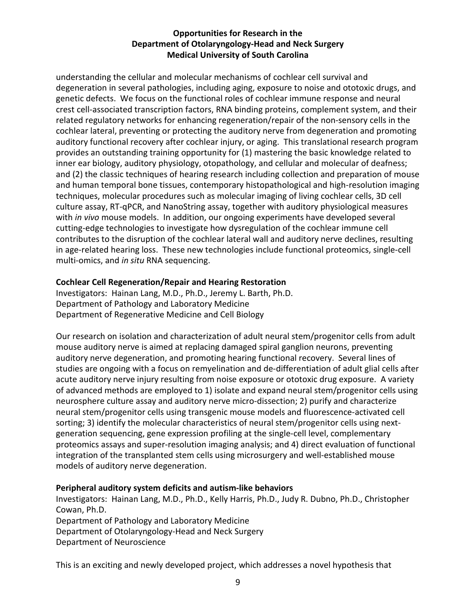understanding the cellular and molecular mechanisms of cochlear cell survival and degeneration in several pathologies, including aging, exposure to noise and ototoxic drugs, and genetic defects. We focus on the functional roles of cochlear immune response and neural crest cell-associated transcription factors, RNA binding proteins, complement system, and their related regulatory networks for enhancing regeneration/repair of the non-sensory cells in the cochlear lateral, preventing or protecting the auditory nerve from degeneration and promoting auditory functional recovery after cochlear injury, or aging. This translational research program provides an outstanding training opportunity for (1) mastering the basic knowledge related to inner ear biology, auditory physiology, otopathology, and cellular and molecular of deafness; and (2) the classic techniques of hearing research including collection and preparation of mouse and human temporal bone tissues, contemporary histopathological and high-resolution imaging techniques, molecular procedures such as molecular imaging of living cochlear cells, 3D cell culture assay, RT-qPCR, and NanoString assay, together with auditory physiological measures with *in vivo* mouse models. In addition, our ongoing experiments have developed several cutting-edge technologies to investigate how dysregulation of the cochlear immune cell contributes to the disruption of the cochlear lateral wall and auditory nerve declines, resulting in age-related hearing loss. These new technologies include functional proteomics, single-cell multi-omics, and *in situ* RNA sequencing.

# **Cochlear Cell Regeneration/Repair and Hearing Restoration**

Investigators: Hainan Lang, M.D., Ph.D., Jeremy L. Barth, Ph.D. Department of Pathology and Laboratory Medicine Department of Regenerative Medicine and Cell Biology

Our research on isolation and characterization of adult neural stem/progenitor cells from adult mouse auditory nerve is aimed at replacing damaged spiral ganglion neurons, preventing auditory nerve degeneration, and promoting hearing functional recovery. Several lines of studies are ongoing with a focus on remyelination and de-differentiation of adult glial cells after acute auditory nerve injury resulting from noise exposure or ototoxic drug exposure. A variety of advanced methods are employed to 1) isolate and expand neural stem/progenitor cells using neurosphere culture assay and auditory nerve micro-dissection; 2) purify and characterize neural stem/progenitor cells using transgenic mouse models and fluorescence-activated cell sorting; 3) identify the molecular characteristics of neural stem/progenitor cells using nextgeneration sequencing, gene expression profiling at the single-cell level, complementary proteomics assays and super-resolution imaging analysis; and 4) direct evaluation of functional integration of the transplanted stem cells using microsurgery and well-established mouse models of auditory nerve degeneration.

#### **Peripheral auditory system deficits and autism-like behaviors**

Investigators: Hainan Lang, M.D., Ph.D., Kelly Harris, Ph.D., Judy R. Dubno, Ph.D., Christopher Cowan, Ph.D.

Department of Pathology and Laboratory Medicine

Department of Otolaryngology-Head and Neck Surgery

Department of Neuroscience

This is an exciting and newly developed project, which addresses a novel hypothesis that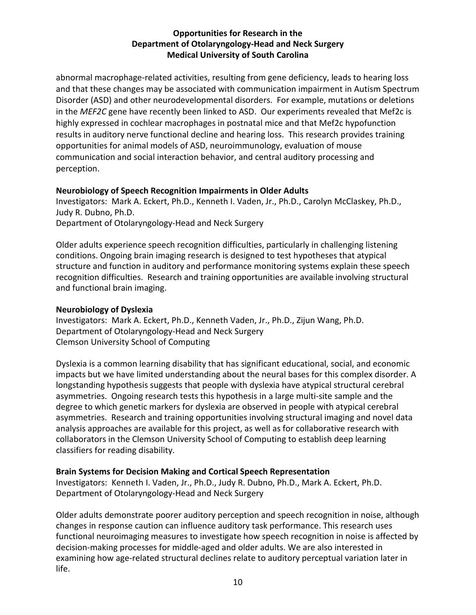abnormal macrophage-related activities, resulting from gene deficiency, leads to hearing loss and that these changes may be associated with communication impairment in Autism Spectrum Disorder (ASD) and other neurodevelopmental disorders. For example, mutations or deletions in the *MEF2C* gene have recently been linked to ASD. Our experiments revealed that Mef2c is highly expressed in cochlear macrophages in postnatal mice and that Mef2c hypofunction results in auditory nerve functional decline and hearing loss. This research provides training opportunities for animal models of ASD, neuroimmunology, evaluation of mouse communication and social interaction behavior, and central auditory processing and perception.

# **Neurobiology of Speech Recognition Impairments in Older Adults**

Investigators: Mark A. Eckert, Ph.D., Kenneth I. Vaden, Jr., Ph.D., Carolyn McClaskey, Ph.D., Judy R. Dubno, Ph.D. Department of Otolaryngology-Head and Neck Surgery

Older adults experience speech recognition difficulties, particularly in challenging listening conditions. Ongoing brain imaging research is designed to test hypotheses that atypical structure and function in auditory and performance monitoring systems explain these speech recognition difficulties. Research and training opportunities are available involving structural and functional brain imaging.

# **Neurobiology of Dyslexia**

Investigators: Mark A. Eckert, Ph.D., Kenneth Vaden, Jr., Ph.D., Zijun Wang, Ph.D. Department of Otolaryngology-Head and Neck Surgery Clemson University School of Computing

Dyslexia is a common learning disability that has significant educational, social, and economic impacts but we have limited understanding about the neural bases for this complex disorder. A longstanding hypothesis suggests that people with dyslexia have atypical structural cerebral asymmetries. Ongoing research tests this hypothesis in a large multi-site sample and the degree to which genetic markers for dyslexia are observed in people with atypical cerebral asymmetries. Research and training opportunities involving structural imaging and novel data analysis approaches are available for this project, as well as for collaborative research with collaborators in the Clemson University School of Computing to establish deep learning classifiers for reading disability.

# **Brain Systems for Decision Making and Cortical Speech Representation**

Investigators: Kenneth I. Vaden, Jr., Ph.D., Judy R. Dubno, Ph.D., Mark A. Eckert, Ph.D. Department of Otolaryngology-Head and Neck Surgery

Older adults demonstrate poorer auditory perception and speech recognition in noise, although changes in response caution can influence auditory task performance. This research uses functional neuroimaging measures to investigate how speech recognition in noise is affected by decision-making processes for middle-aged and older adults. We are also interested in examining how age-related structural declines relate to auditory perceptual variation later in life.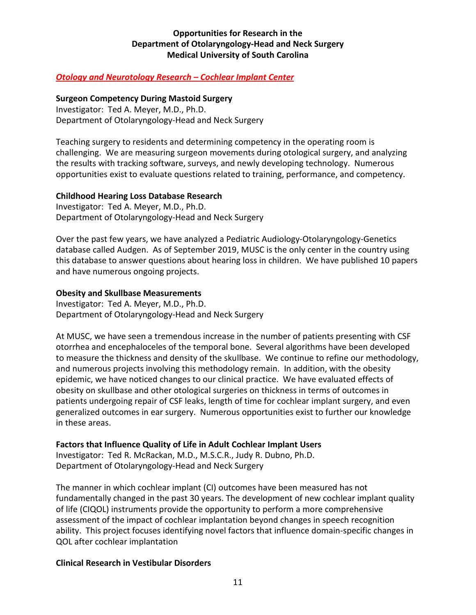# *Otology and Neurotology Research – Cochlear Implant Center*

#### **Surgeon Competency During Mastoid Surgery**

Investigator: Ted A. Meyer, M.D., Ph.D. Department of Otolaryngology-Head and Neck Surgery

Teaching surgery to residents and determining competency in the operating room is challenging. We are measuring surgeon movements during otological surgery, and analyzing the results with tracking software, surveys, and newly developing technology. Numerous opportunities exist to evaluate questions related to training, performance, and competency.

#### **Childhood Hearing Loss Database Research**

Investigator: Ted A. Meyer, M.D., Ph.D. Department of Otolaryngology-Head and Neck Surgery

Over the past few years, we have analyzed a Pediatric Audiology-Otolaryngology-Genetics database called Audgen. As of September 2019, MUSC is the only center in the country using this database to answer questions about hearing loss in children. We have published 10 papers and have numerous ongoing projects.

#### **Obesity and Skullbase Measurements**

Investigator: Ted A. Meyer, M.D., Ph.D. Department of Otolaryngology-Head and Neck Surgery

At MUSC, we have seen a tremendous increase in the number of patients presenting with CSF otorrhea and encephaloceles of the temporal bone. Several algorithms have been developed to measure the thickness and density of the skullbase. We continue to refine our methodology, and numerous projects involving this methodology remain. In addition, with the obesity epidemic, we have noticed changes to our clinical practice. We have evaluated effects of obesity on skullbase and other otological surgeries on thickness in terms of outcomes in patients undergoing repair of CSF leaks, length of time for cochlear implant surgery, and even generalized outcomes in ear surgery. Numerous opportunities exist to further our knowledge in these areas.

#### **Factors that Influence Quality of Life in Adult Cochlear Implant Users**

Investigator: Ted R. McRackan, M.D., M.S.C.R., Judy R. Dubno, Ph.D. Department of Otolaryngology-Head and Neck Surgery

The manner in which cochlear implant (CI) outcomes have been measured has not fundamentally changed in the past 30 years. The development of new cochlear implant quality of life (CIQOL) instruments provide the opportunity to perform a more comprehensive assessment of the impact of cochlear implantation beyond changes in speech recognition ability. This project focuses identifying novel factors that influence domain-specific changes in QOL after cochlear implantation

#### **Clinical Research in Vestibular Disorders**